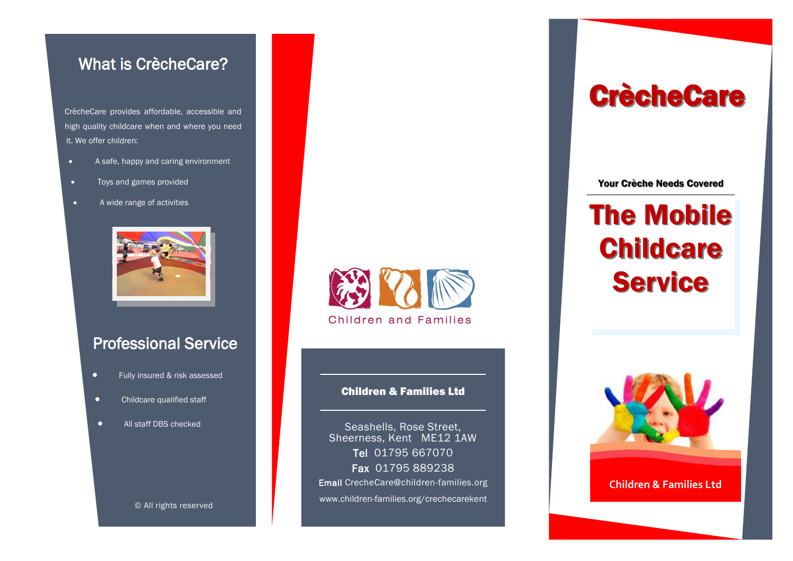### What is CrècheCare?

 CrècheCare provides affordable, accessible and high quality childcare when and where you need it. We offer children:

- A safe, happy and caring environment
- Toys and games provided
- A wide range of activities



## Professional Service

- **•** Fully insured & risk assessed
- **•** Childcare qualified staff
- All staff DBS checked

© All rights reserved



#### Children & Families Ltd

Seashells, Rose Street, Sheerness, Kent ME12 1AW Tel 01795 667070 Fax 01795 889238 Email CrecheCare@children-families.org www.children-families.org/crechecarekent

# **CrècheCare**

Your Crèche Needs Covered

# The Mobile **Childcare Service**